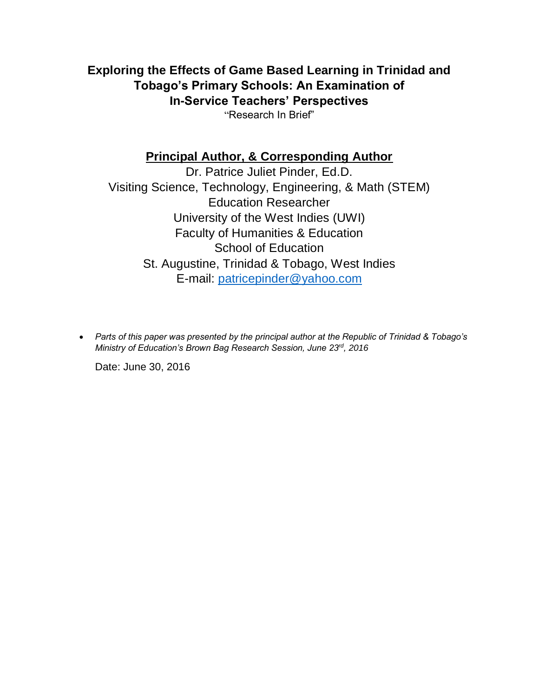**Exploring the Effects of Game Based Learning in Trinidad and Tobago's Primary Schools: An Examination of In-Service Teachers' Perspectives** "Research In Brief"

# **Principal Author, & Corresponding Author**

Dr. Patrice Juliet Pinder, Ed.D. Visiting Science, Technology, Engineering, & Math (STEM) Education Researcher University of the West Indies (UWI) Faculty of Humanities & Education School of Education St. Augustine, Trinidad & Tobago, West Indies E-mail: [patricepinder@yahoo.com](mailto:patricepinder@yahoo.com)

 *Parts of this paper was presented by the principal author at the Republic of Trinidad & Tobago's Ministry of Education's Brown Bag Research Session, June 23rd, 2016*

Date: June 30, 2016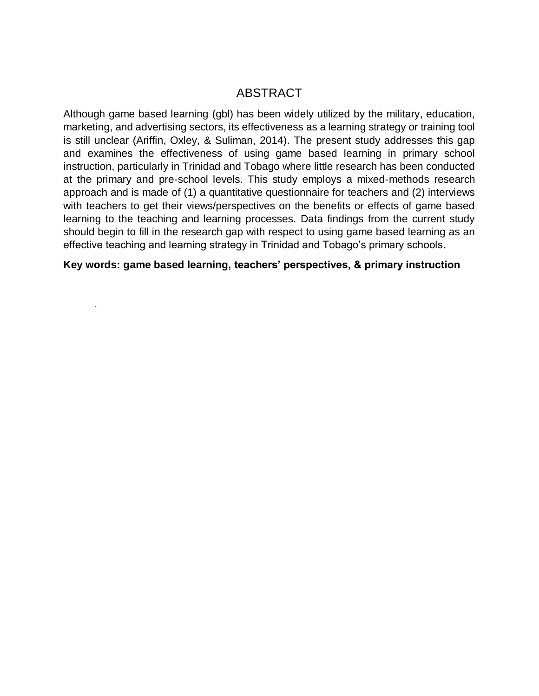# ABSTRACT

Although game based learning (gbl) has been widely utilized by the military, education, marketing, and advertising sectors, its effectiveness as a learning strategy or training tool is still unclear (Ariffin, Oxley, & Suliman, 2014). The present study addresses this gap and examines the effectiveness of using game based learning in primary school instruction, particularly in Trinidad and Tobago where little research has been conducted at the primary and pre-school levels. This study employs a mixed-methods research approach and is made of (1) a quantitative questionnaire for teachers and (2) interviews with teachers to get their views/perspectives on the benefits or effects of game based learning to the teaching and learning processes. Data findings from the current study should begin to fill in the research gap with respect to using game based learning as an effective teaching and learning strategy in Trinidad and Tobago's primary schools.

**Key words: game based learning, teachers' perspectives, & primary instruction**

*.*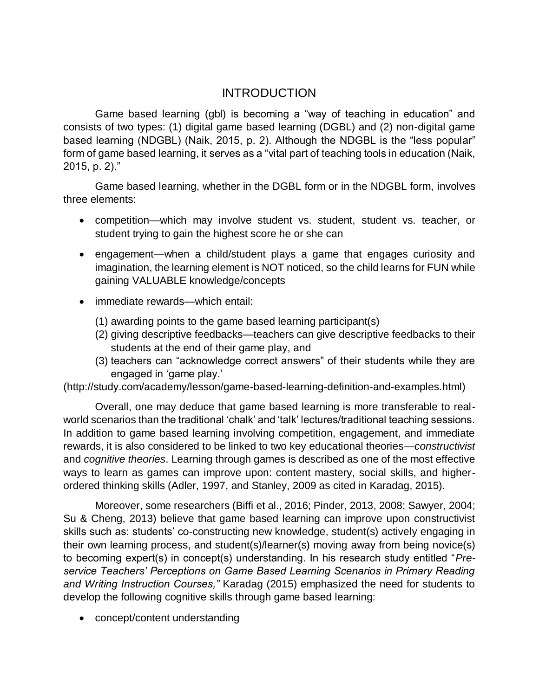# INTRODUCTION

Game based learning (gbl) is becoming a "way of teaching in education" and consists of two types: (1) digital game based learning (DGBL) and (2) non-digital game based learning (NDGBL) (Naik, 2015, p. 2). Although the NDGBL is the "less popular" form of game based learning, it serves as a "vital part of teaching tools in education (Naik, 2015, p. 2)."

Game based learning, whether in the DGBL form or in the NDGBL form, involves three elements:

- competition—which may involve student vs. student, student vs. teacher, or student trying to gain the highest score he or she can
- engagement—when a child/student plays a game that engages curiosity and imagination, the learning element is NOT noticed, so the child learns for FUN while gaining VALUABLE knowledge/concepts
- immediate rewards—which entail:
	- (1) awarding points to the game based learning participant(s)
	- (2) giving descriptive feedbacks—teachers can give descriptive feedbacks to their students at the end of their game play, and
	- (3) teachers can "acknowledge correct answers" of their students while they are engaged in 'game play.'

(http://study.com/academy/lesson/game-based-learning-definition-and-examples.html)

Overall, one may deduce that game based learning is more transferable to realworld scenarios than the traditional 'chalk' and 'talk' lectures/traditional teaching sessions. In addition to game based learning involving competition, engagement, and immediate rewards, it is also considered to be linked to two key educational theories—*constructivist*  and *cognitive theories*. Learning through games is described as one of the most effective ways to learn as games can improve upon: content mastery, social skills, and higherordered thinking skills (Adler, 1997, and Stanley, 2009 as cited in Karadag, 2015).

Moreover, some researchers (Biffi et al., 2016; Pinder, 2013, 2008; Sawyer, 2004; Su & Cheng, 2013) believe that game based learning can improve upon constructivist skills such as: students' co-constructing new knowledge, student(s) actively engaging in their own learning process, and student(s)/learner(s) moving away from being novice(s) to becoming expert(s) in concept(s) understanding. In his research study entitled "*Preservice Teachers' Perceptions on Game Based Learning Scenarios in Primary Reading and Writing Instruction Courses,"* Karadag (2015) emphasized the need for students to develop the following cognitive skills through game based learning:

• concept/content understanding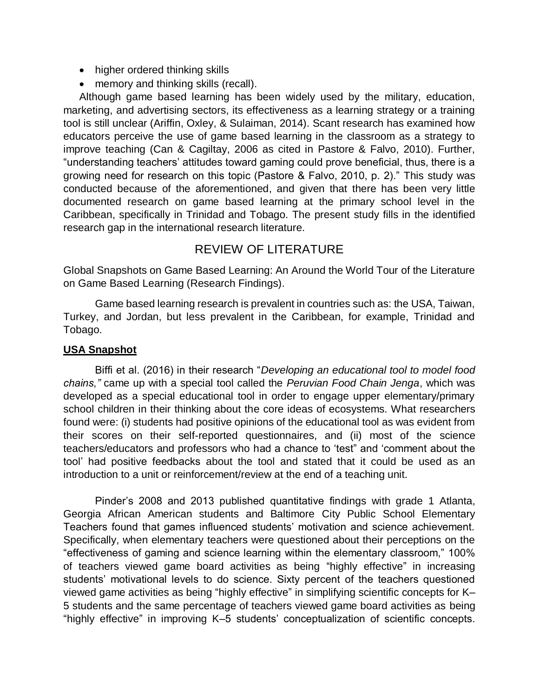- higher ordered thinking skills
- memory and thinking skills (recall).

Although game based learning has been widely used by the military, education, marketing, and advertising sectors, its effectiveness as a learning strategy or a training tool is still unclear (Ariffin, Oxley, & Sulaiman, 2014). Scant research has examined how educators perceive the use of game based learning in the classroom as a strategy to improve teaching (Can & Cagiltay, 2006 as cited in Pastore & Falvo, 2010). Further, "understanding teachers' attitudes toward gaming could prove beneficial, thus, there is a growing need for research on this topic (Pastore & Falvo, 2010, p. 2)." This study was conducted because of the aforementioned, and given that there has been very little documented research on game based learning at the primary school level in the Caribbean, specifically in Trinidad and Tobago. The present study fills in the identified research gap in the international research literature.

# REVIEW OF LITERATURE

Global Snapshots on Game Based Learning: An Around the World Tour of the Literature on Game Based Learning (Research Findings).

Game based learning research is prevalent in countries such as: the USA, Taiwan, Turkey, and Jordan, but less prevalent in the Caribbean, for example, Trinidad and Tobago.

## **USA Snapshot**

Biffi et al. (2016) in their research "*Developing an educational tool to model food chains,"* came up with a special tool called the *Peruvian Food Chain Jenga*, which was developed as a special educational tool in order to engage upper elementary/primary school children in their thinking about the core ideas of ecosystems. What researchers found were: (i) students had positive opinions of the educational tool as was evident from their scores on their self-reported questionnaires, and (ii) most of the science teachers/educators and professors who had a chance to 'test" and 'comment about the tool' had positive feedbacks about the tool and stated that it could be used as an introduction to a unit or reinforcement/review at the end of a teaching unit.

Pinder's 2008 and 2013 published quantitative findings with grade 1 Atlanta, Georgia African American students and Baltimore City Public School Elementary Teachers found that games influenced students' motivation and science achievement. Specifically, when elementary teachers were questioned about their perceptions on the "effectiveness of gaming and science learning within the elementary classroom," 100% of teachers viewed game board activities as being "highly effective" in increasing students' motivational levels to do science. Sixty percent of the teachers questioned viewed game activities as being "highly effective" in simplifying scientific concepts for K– 5 students and the same percentage of teachers viewed game board activities as being "highly effective" in improving K–5 students' conceptualization of scientific concepts.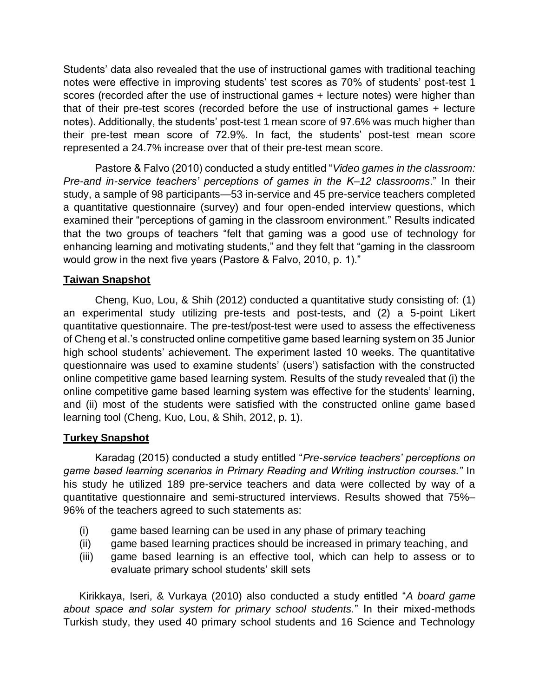Students' data also revealed that the use of instructional games with traditional teaching notes were effective in improving students' test scores as 70% of students' post-test 1 scores (recorded after the use of instructional games + lecture notes) were higher than that of their pre-test scores (recorded before the use of instructional games + lecture notes). Additionally, the students' post-test 1 mean score of 97.6% was much higher than their pre-test mean score of 72.9%. In fact, the students' post-test mean score represented a 24.7% increase over that of their pre-test mean score.

Pastore & Falvo (2010) conducted a study entitled "*Video games in the classroom: Pre-and in-service teachers' perceptions of games in the K–12 classrooms*." In their study, a sample of 98 participants—53 in-service and 45 pre-service teachers completed a quantitative questionnaire (survey) and four open-ended interview questions, which examined their "perceptions of gaming in the classroom environment." Results indicated that the two groups of teachers "felt that gaming was a good use of technology for enhancing learning and motivating students," and they felt that "gaming in the classroom would grow in the next five years (Pastore & Falvo, 2010, p. 1)."

## **Taiwan Snapshot**

Cheng, Kuo, Lou, & Shih (2012) conducted a quantitative study consisting of: (1) an experimental study utilizing pre-tests and post-tests, and (2) a 5-point Likert quantitative questionnaire. The pre-test/post-test were used to assess the effectiveness of Cheng et al.'s constructed online competitive game based learning system on 35 Junior high school students' achievement. The experiment lasted 10 weeks. The quantitative questionnaire was used to examine students' (users') satisfaction with the constructed online competitive game based learning system. Results of the study revealed that (i) the online competitive game based learning system was effective for the students' learning, and (ii) most of the students were satisfied with the constructed online game based learning tool (Cheng, Kuo, Lou, & Shih, 2012, p. 1).

#### **Turkey Snapshot**

Karadag (2015) conducted a study entitled "*Pre-service teachers' perceptions on game based learning scenarios in Primary Reading and Writing instruction courses."* In his study he utilized 189 pre-service teachers and data were collected by way of a quantitative questionnaire and semi-structured interviews. Results showed that 75%– 96% of the teachers agreed to such statements as:

- (i) game based learning can be used in any phase of primary teaching
- (ii) game based learning practices should be increased in primary teaching, and
- (iii) game based learning is an effective tool, which can help to assess or to evaluate primary school students' skill sets

Kirikkaya, Iseri, & Vurkaya (2010) also conducted a study entitled "*A board game about space and solar system for primary school students.*" In their mixed-methods Turkish study, they used 40 primary school students and 16 Science and Technology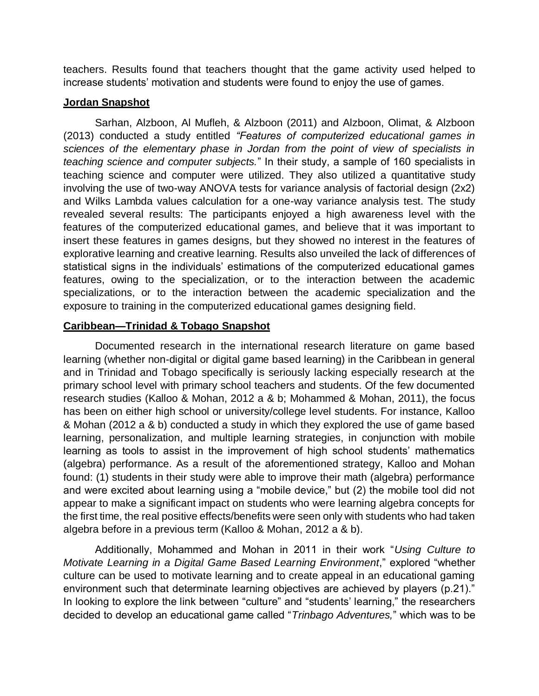teachers. Results found that teachers thought that the game activity used helped to increase students' motivation and students were found to enjoy the use of games.

#### **Jordan Snapshot**

Sarhan, Alzboon, Al Mufleh, & Alzboon (2011) and Alzboon, Olimat, & Alzboon (2013) conducted a study entitled *"Features of computerized educational games in sciences of the elementary phase in Jordan from the point of view of specialists in teaching science and computer subjects.*" In their study, a sample of 160 specialists in teaching science and computer were utilized. They also utilized a quantitative study involving the use of two-way ANOVA tests for variance analysis of factorial design (2x2) and Wilks Lambda values calculation for a one-way variance analysis test. The study revealed several results: The participants enjoyed a high awareness level with the features of the computerized educational games, and believe that it was important to insert these features in games designs, but they showed no interest in the features of explorative learning and creative learning. Results also unveiled the lack of differences of statistical signs in the individuals' estimations of the computerized educational games features, owing to the specialization, or to the interaction between the academic specializations, or to the interaction between the academic specialization and the exposure to training in the computerized educational games designing field.

#### **Caribbean—Trinidad & Tobago Snapshot**

Documented research in the international research literature on game based learning (whether non-digital or digital game based learning) in the Caribbean in general and in Trinidad and Tobago specifically is seriously lacking especially research at the primary school level with primary school teachers and students. Of the few documented research studies (Kalloo & Mohan, 2012 a & b; Mohammed & Mohan, 2011), the focus has been on either high school or university/college level students. For instance, Kalloo & Mohan (2012 a & b) conducted a study in which they explored the use of game based learning, personalization, and multiple learning strategies, in conjunction with mobile learning as tools to assist in the improvement of high school students' mathematics (algebra) performance. As a result of the aforementioned strategy, Kalloo and Mohan found: (1) students in their study were able to improve their math (algebra) performance and were excited about learning using a "mobile device," but (2) the mobile tool did not appear to make a significant impact on students who were learning algebra concepts for the first time, the real positive effects/benefits were seen only with students who had taken algebra before in a previous term (Kalloo & Mohan, 2012 a & b).

Additionally, Mohammed and Mohan in 2011 in their work "*Using Culture to Motivate Learning in a Digital Game Based Learning Environment*," explored "whether culture can be used to motivate learning and to create appeal in an educational gaming environment such that determinate learning objectives are achieved by players (p.21)." In looking to explore the link between "culture" and "students' learning," the researchers decided to develop an educational game called "*Trinbago Adventures,*" which was to be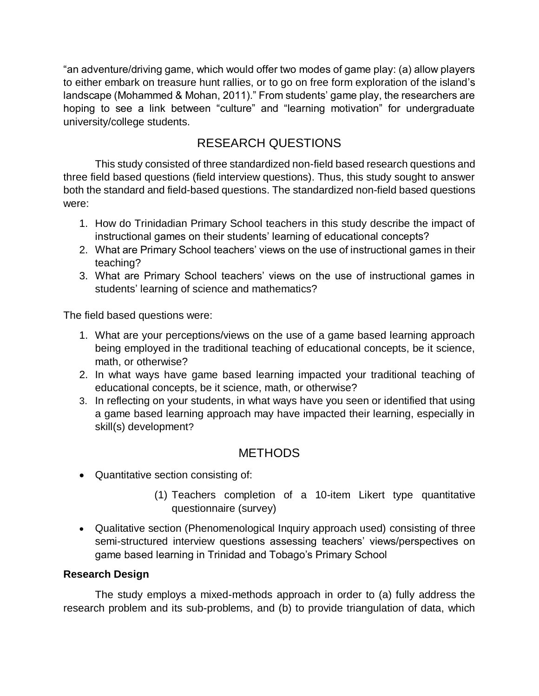"an adventure/driving game, which would offer two modes of game play: (a) allow players to either embark on treasure hunt rallies, or to go on free form exploration of the island's landscape (Mohammed & Mohan, 2011)." From students' game play, the researchers are hoping to see a link between "culture" and "learning motivation" for undergraduate university/college students.

# RESEARCH QUESTIONS

This study consisted of three standardized non-field based research questions and three field based questions (field interview questions). Thus, this study sought to answer both the standard and field-based questions. The standardized non-field based questions were:

- 1. How do Trinidadian Primary School teachers in this study describe the impact of instructional games on their students' learning of educational concepts?
- 2. What are Primary School teachers' views on the use of instructional games in their teaching?
- 3. What are Primary School teachers' views on the use of instructional games in students' learning of science and mathematics?

The field based questions were:

- 1. What are your perceptions/views on the use of a game based learning approach being employed in the traditional teaching of educational concepts, be it science, math, or otherwise?
- 2. In what ways have game based learning impacted your traditional teaching of educational concepts, be it science, math, or otherwise?
- 3. In reflecting on your students, in what ways have you seen or identified that using a game based learning approach may have impacted their learning, especially in skill(s) development?

# **METHODS**

- Quantitative section consisting of:
	- (1) Teachers completion of a 10-item Likert type quantitative questionnaire (survey)
- Qualitative section (Phenomenological Inquiry approach used) consisting of three semi-structured interview questions assessing teachers' views/perspectives on game based learning in Trinidad and Tobago's Primary School

## **Research Design**

The study employs a mixed-methods approach in order to (a) fully address the research problem and its sub-problems, and (b) to provide triangulation of data, which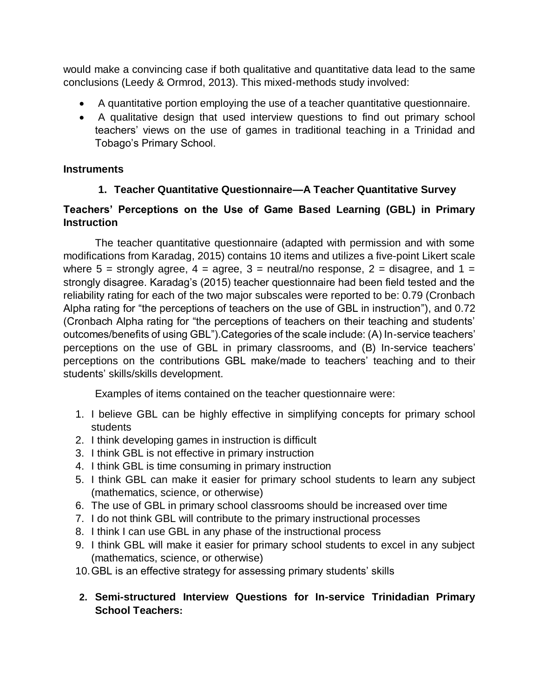would make a convincing case if both qualitative and quantitative data lead to the same conclusions (Leedy & Ormrod, 2013). This mixed-methods study involved:

- A quantitative portion employing the use of a teacher quantitative questionnaire.
- A qualitative design that used interview questions to find out primary school teachers' views on the use of games in traditional teaching in a Trinidad and Tobago's Primary School.

## **Instruments**

# **1. Teacher Quantitative Questionnaire—A Teacher Quantitative Survey**

# **Teachers' Perceptions on the Use of Game Based Learning (GBL) in Primary Instruction**

The teacher quantitative questionnaire (adapted with permission and with some modifications from Karadag, 2015) contains 10 items and utilizes a five-point Likert scale where  $5 =$  strongly agree,  $4 =$  agree,  $3 =$  neutral/no response,  $2 =$  disagree, and  $1 =$ strongly disagree. Karadag's (2015) teacher questionnaire had been field tested and the reliability rating for each of the two major subscales were reported to be: 0.79 (Cronbach Alpha rating for "the perceptions of teachers on the use of GBL in instruction"), and 0.72 (Cronbach Alpha rating for "the perceptions of teachers on their teaching and students' outcomes/benefits of using GBL").Categories of the scale include: (A) In-service teachers' perceptions on the use of GBL in primary classrooms, and (B) In-service teachers' perceptions on the contributions GBL make/made to teachers' teaching and to their students' skills/skills development.

Examples of items contained on the teacher questionnaire were:

- 1. I believe GBL can be highly effective in simplifying concepts for primary school students
- 2. I think developing games in instruction is difficult
- 3. I think GBL is not effective in primary instruction
- 4. I think GBL is time consuming in primary instruction
- 5. I think GBL can make it easier for primary school students to learn any subject (mathematics, science, or otherwise)
- 6. The use of GBL in primary school classrooms should be increased over time
- 7. I do not think GBL will contribute to the primary instructional processes
- 8. I think I can use GBL in any phase of the instructional process
- 9. I think GBL will make it easier for primary school students to excel in any subject (mathematics, science, or otherwise)
- 10.GBL is an effective strategy for assessing primary students' skills
- **2. Semi-structured Interview Questions for In-service Trinidadian Primary School Teachers:**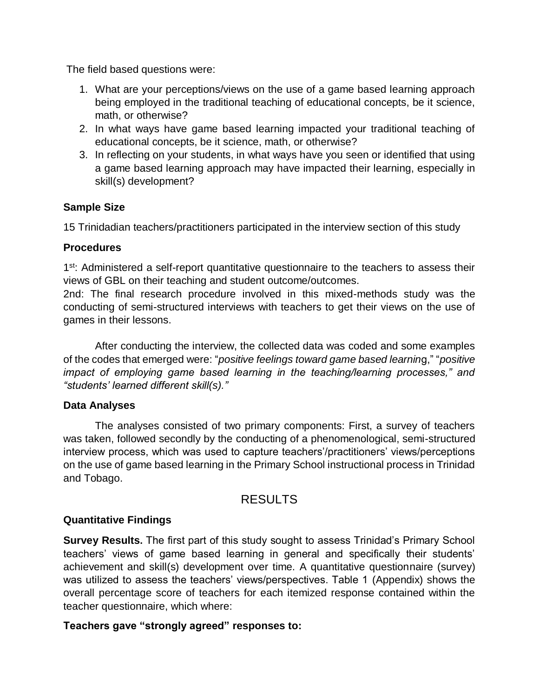The field based questions were:

- 1. What are your perceptions/views on the use of a game based learning approach being employed in the traditional teaching of educational concepts, be it science, math, or otherwise?
- 2. In what ways have game based learning impacted your traditional teaching of educational concepts, be it science, math, or otherwise?
- 3. In reflecting on your students, in what ways have you seen or identified that using a game based learning approach may have impacted their learning, especially in skill(s) development?

## **Sample Size**

15 Trinidadian teachers/practitioners participated in the interview section of this study

#### **Procedures**

1<sup>st</sup>: Administered a self-report quantitative questionnaire to the teachers to assess their views of GBL on their teaching and student outcome/outcomes.

2nd: The final research procedure involved in this mixed-methods study was the conducting of semi-structured interviews with teachers to get their views on the use of games in their lessons.

After conducting the interview, the collected data was coded and some examples of the codes that emerged were: "*positive feelings toward game based learnin*g," "*positive impact of employing game based learning in the teaching/learning processes," and "students' learned different skill(s)."*

#### **Data Analyses**

The analyses consisted of two primary components: First, a survey of teachers was taken, followed secondly by the conducting of a phenomenological, semi-structured interview process, which was used to capture teachers'/practitioners' views/perceptions on the use of game based learning in the Primary School instructional process in Trinidad and Tobago.

# RESULTS

## **Quantitative Findings**

**Survey Results.** The first part of this study sought to assess Trinidad's Primary School teachers' views of game based learning in general and specifically their students' achievement and skill(s) development over time. A quantitative questionnaire (survey) was utilized to assess the teachers' views/perspectives. Table 1 (Appendix) shows the overall percentage score of teachers for each itemized response contained within the teacher questionnaire, which where:

## **Teachers gave "strongly agreed" responses to:**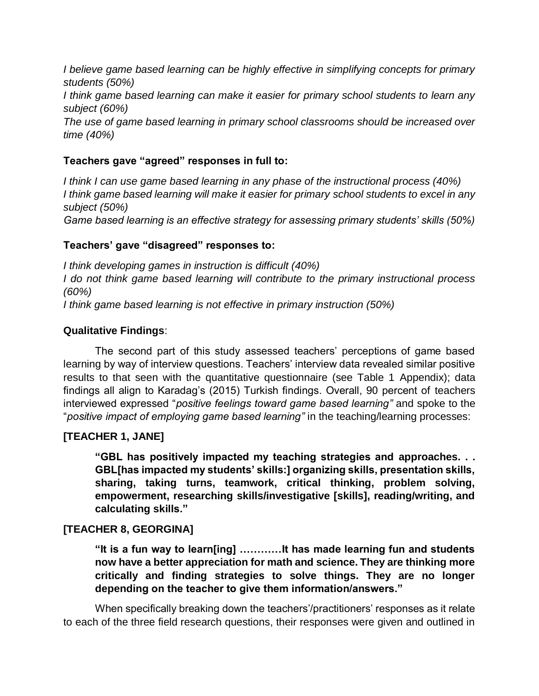*I believe game based learning can be highly effective in simplifying concepts for primary students (50%) I think game based learning can make it easier for primary school students to learn any subject (60%) The use of game based learning in primary school classrooms should be increased over time (40%)*

#### **Teachers gave "agreed" responses in full to:**

*I think I can use game based learning in any phase of the instructional process (40%) I think game based learning will make it easier for primary school students to excel in any subject (50%) Game based learning is an effective strategy for assessing primary students' skills (50%)*

#### **Teachers' gave "disagreed" responses to:**

*I think developing games in instruction is difficult (40%) I do not think game based learning will contribute to the primary instructional process (60%) I think game based learning is not effective in primary instruction (50%)*

#### **Qualitative Findings**:

The second part of this study assessed teachers' perceptions of game based learning by way of interview questions. Teachers' interview data revealed similar positive results to that seen with the quantitative questionnaire (see Table 1 Appendix); data findings all align to Karadag's (2015) Turkish findings. Overall, 90 percent of teachers interviewed expressed "*positive feelings toward game based learning"* and spoke to the "*positive impact of employing game based learning"* in the teaching/learning processes:

## **[TEACHER 1, JANE]**

**"GBL has positively impacted my teaching strategies and approaches. . . GBL[has impacted my students' skills:] organizing skills, presentation skills, sharing, taking turns, teamwork, critical thinking, problem solving, empowerment, researching skills/investigative [skills], reading/writing, and calculating skills."**

## **[TEACHER 8, GEORGINA]**

**"It is a fun way to learn[ing] …………It has made learning fun and students now have a better appreciation for math and science. They are thinking more critically and finding strategies to solve things. They are no longer depending on the teacher to give them information/answers."**

When specifically breaking down the teachers'/practitioners' responses as it relate to each of the three field research questions, their responses were given and outlined in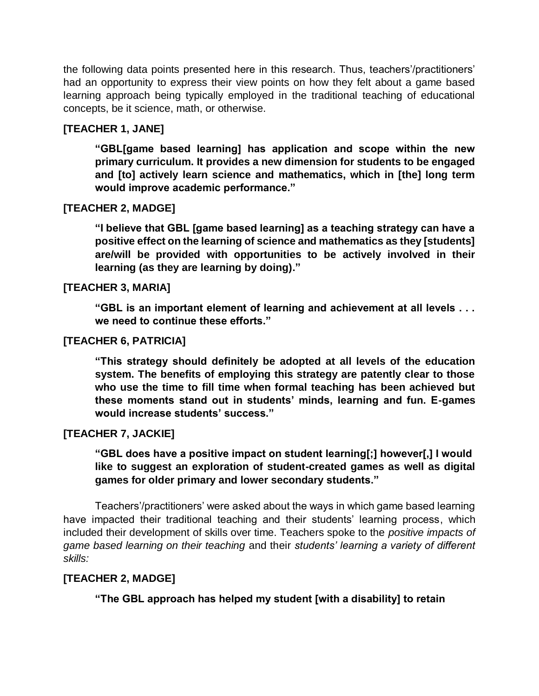the following data points presented here in this research. Thus, teachers'/practitioners' had an opportunity to express their view points on how they felt about a game based learning approach being typically employed in the traditional teaching of educational concepts, be it science, math, or otherwise.

## **[TEACHER 1, JANE]**

**"GBL[game based learning] has application and scope within the new primary curriculum. It provides a new dimension for students to be engaged and [to] actively learn science and mathematics, which in [the] long term would improve academic performance."**

## **[TEACHER 2, MADGE]**

**"I believe that GBL [game based learning] as a teaching strategy can have a positive effect on the learning of science and mathematics as they [students] are/will be provided with opportunities to be actively involved in their learning (as they are learning by doing)."**

#### **[TEACHER 3, MARIA]**

**"GBL is an important element of learning and achievement at all levels . . . we need to continue these efforts."**

#### **[TEACHER 6, PATRICIA]**

**"This strategy should definitely be adopted at all levels of the education system. The benefits of employing this strategy are patently clear to those who use the time to fill time when formal teaching has been achieved but these moments stand out in students' minds, learning and fun. E-games would increase students' success."**

#### **[TEACHER 7, JACKIE]**

**"GBL does have a positive impact on student learning[;] however[,] I would like to suggest an exploration of student-created games as well as digital games for older primary and lower secondary students."**

Teachers'/practitioners' were asked about the ways in which game based learning have impacted their traditional teaching and their students' learning process, which included their development of skills over time. Teachers spoke to the *positive impacts of game based learning on their teaching* and their *students' learning a variety of different skills:*

#### **[TEACHER 2, MADGE]**

**"The GBL approach has helped my student [with a disability] to retain**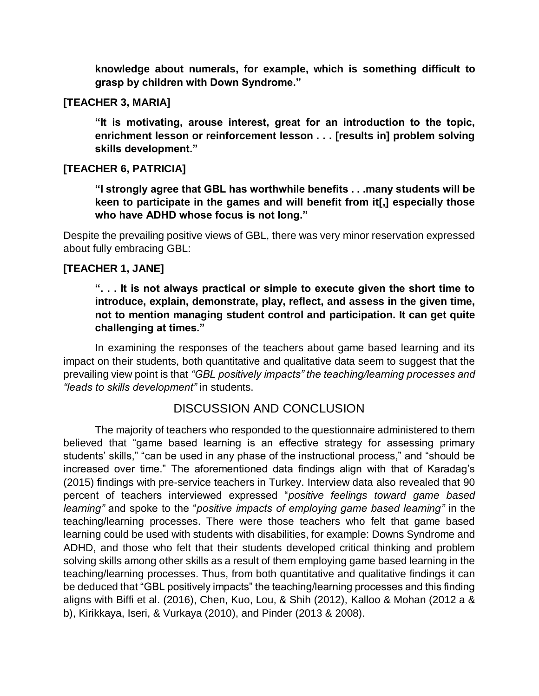**knowledge about numerals, for example, which is something difficult to grasp by children with Down Syndrome."**

#### **[TEACHER 3, MARIA]**

**"It is motivating, arouse interest, great for an introduction to the topic, enrichment lesson or reinforcement lesson . . . [results in] problem solving skills development."**

#### **[TEACHER 6, PATRICIA]**

**"I strongly agree that GBL has worthwhile benefits . . .many students will be keen to participate in the games and will benefit from it[,] especially those who have ADHD whose focus is not long."**

Despite the prevailing positive views of GBL, there was very minor reservation expressed about fully embracing GBL:

#### **[TEACHER 1, JANE]**

## **". . . It is not always practical or simple to execute given the short time to introduce, explain, demonstrate, play, reflect, and assess in the given time, not to mention managing student control and participation. It can get quite challenging at times."**

In examining the responses of the teachers about game based learning and its impact on their students, both quantitative and qualitative data seem to suggest that the prevailing view point is that *"GBL positively impacts" the teaching/learning processes and "leads to skills development"* in students.

## DISCUSSION AND CONCLUSION

The majority of teachers who responded to the questionnaire administered to them believed that "game based learning is an effective strategy for assessing primary students' skills," "can be used in any phase of the instructional process," and "should be increased over time." The aforementioned data findings align with that of Karadag's (2015) findings with pre-service teachers in Turkey. Interview data also revealed that 90 percent of teachers interviewed expressed "*positive feelings toward game based learning"* and spoke to the "*positive impacts of employing game based learning"* in the teaching/learning processes. There were those teachers who felt that game based learning could be used with students with disabilities, for example: Downs Syndrome and ADHD, and those who felt that their students developed critical thinking and problem solving skills among other skills as a result of them employing game based learning in the teaching/learning processes. Thus, from both quantitative and qualitative findings it can be deduced that "GBL positively impacts" the teaching/learning processes and this finding aligns with Biffi et al. (2016), Chen, Kuo, Lou, & Shih (2012), Kalloo & Mohan (2012 a & b), Kirikkaya, Iseri, & Vurkaya (2010), and Pinder (2013 & 2008).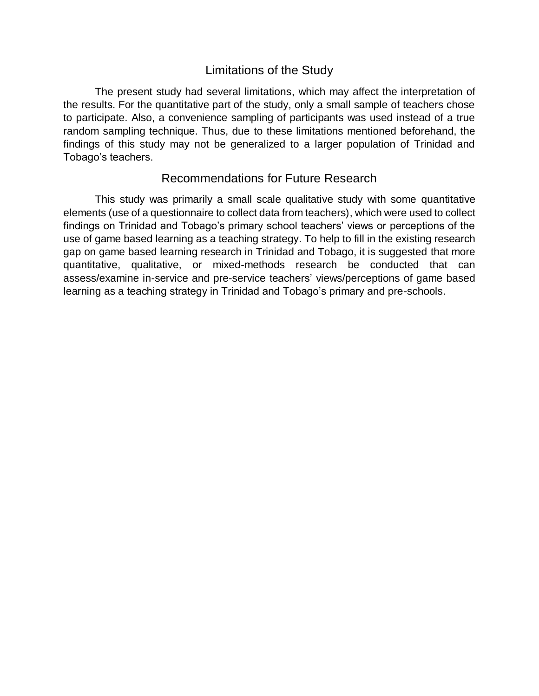# Limitations of the Study

The present study had several limitations, which may affect the interpretation of the results. For the quantitative part of the study, only a small sample of teachers chose to participate. Also, a convenience sampling of participants was used instead of a true random sampling technique. Thus, due to these limitations mentioned beforehand, the findings of this study may not be generalized to a larger population of Trinidad and Tobago's teachers.

# Recommendations for Future Research

This study was primarily a small scale qualitative study with some quantitative elements (use of a questionnaire to collect data from teachers), which were used to collect findings on Trinidad and Tobago's primary school teachers' views or perceptions of the use of game based learning as a teaching strategy. To help to fill in the existing research gap on game based learning research in Trinidad and Tobago, it is suggested that more quantitative, qualitative, or mixed-methods research be conducted that can assess/examine in-service and pre-service teachers' views/perceptions of game based learning as a teaching strategy in Trinidad and Tobago's primary and pre-schools.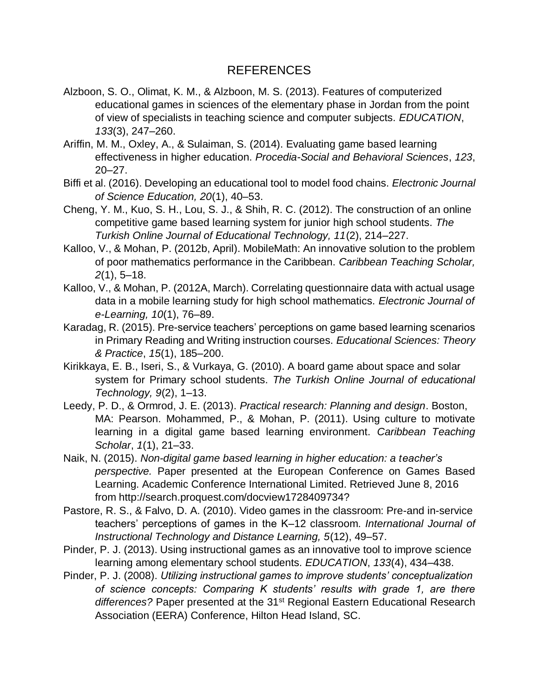# REFERENCES

- Alzboon, S. O., Olimat, K. M., & Alzboon, M. S. (2013). Features of computerized educational games in sciences of the elementary phase in Jordan from the point of view of specialists in teaching science and computer subjects. *EDUCATION*, *133*(3), 247–260.
- Ariffin, M. M., Oxley, A., & Sulaiman, S. (2014). Evaluating game based learning effectiveness in higher education. *Procedia-Social and Behavioral Sciences*, *123*, 20–27.
- Biffi et al. (2016). Developing an educational tool to model food chains. *Electronic Journal of Science Education, 20*(1), 40–53.
- Cheng, Y. M., Kuo, S. H., Lou, S. J., & Shih, R. C. (2012). The construction of an online competitive game based learning system for junior high school students. *The Turkish Online Journal of Educational Technology, 11*(2), 214–227.
- Kalloo, V., & Mohan, P. (2012b, April). MobileMath: An innovative solution to the problem of poor mathematics performance in the Caribbean. *Caribbean Teaching Scholar, 2*(1), 5–18.
- Kalloo, V., & Mohan, P. (2012A, March). Correlating questionnaire data with actual usage data in a mobile learning study for high school mathematics. *Electronic Journal of e-Learning, 10*(1), 76–89.
- Karadag, R. (2015). Pre-service teachers' perceptions on game based learning scenarios in Primary Reading and Writing instruction courses. *Educational Sciences: Theory & Practice*, *15*(1), 185–200.
- Kirikkaya, E. B., Iseri, S., & Vurkaya, G. (2010). A board game about space and solar system for Primary school students. *The Turkish Online Journal of educational Technology, 9*(2), 1–13.
- Leedy, P. D., & Ormrod, J. E. (2013). *Practical research: Planning and design*. Boston, MA: Pearson. Mohammed, P., & Mohan, P. (2011). Using culture to motivate learning in a digital game based learning environment. *Caribbean Teaching Scholar*, *1*(1), 21–33.
- Naik, N. (2015). *Non-digital game based learning in higher education: a teacher's perspective.* Paper presented at the European Conference on Games Based Learning. Academic Conference International Limited. Retrieved June 8, 2016 from http://search.proquest.com/docview1728409734?
- Pastore, R. S., & Falvo, D. A. (2010). Video games in the classroom: Pre-and in-service teachers' perceptions of games in the K–12 classroom. *International Journal of Instructional Technology and Distance Learning, 5*(12), 49–57.
- Pinder, P. J. (2013). Using instructional games as an innovative tool to improve science learning among elementary school students*. EDUCATION*, *133*(4), 434–438.
- Pinder, P. J. (2008). *Utilizing instructional games to improve students' conceptualization of science concepts: Comparing K students' results with grade 1, are there*  differences? Paper presented at the 31<sup>st</sup> Regional Eastern Educational Research Association (EERA) Conference, Hilton Head Island, SC.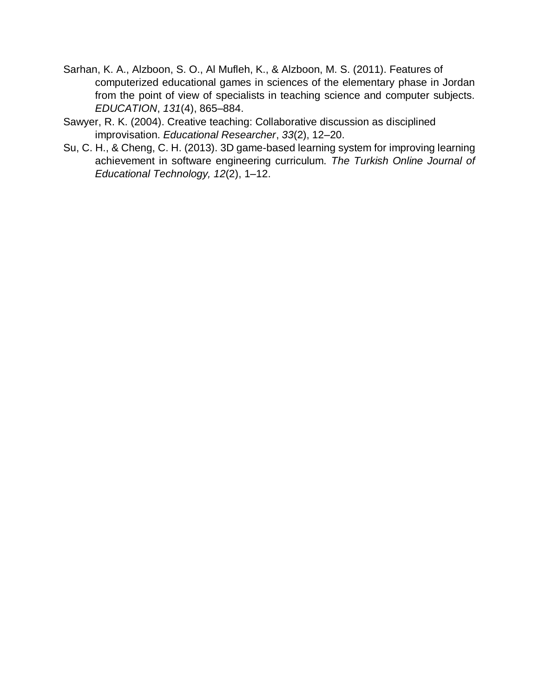- Sarhan, K. A., Alzboon, S. O., Al Mufleh, K., & Alzboon, M. S. (2011). Features of computerized educational games in sciences of the elementary phase in Jordan from the point of view of specialists in teaching science and computer subjects. *EDUCATION*, *131*(4), 865–884.
- Sawyer, R. K. (2004). Creative teaching: Collaborative discussion as disciplined improvisation. *Educational Researcher*, *33*(2), 12–20.
- Su, C. H., & Cheng, C. H. (2013). 3D game-based learning system for improving learning achievement in software engineering curriculum. *The Turkish Online Journal of Educational Technology, 12*(2), 1–12.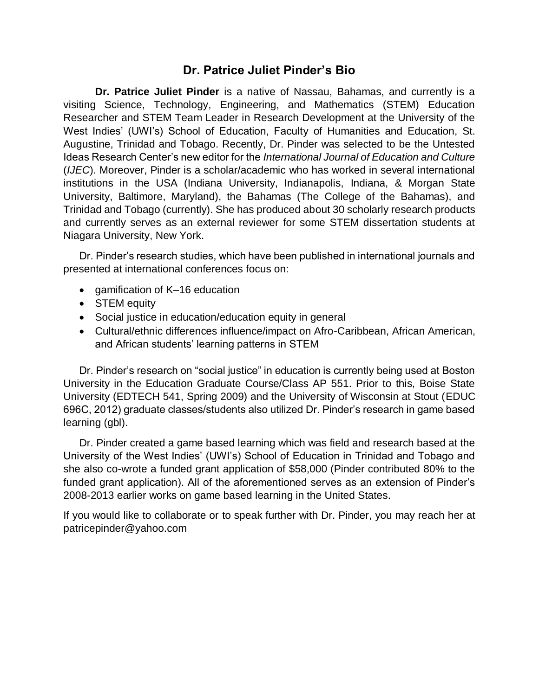# **Dr. Patrice Juliet Pinder's Bio**

**Dr. Patrice Juliet Pinder** is a native of Nassau, Bahamas, and currently is a visiting Science, Technology, Engineering, and Mathematics (STEM) Education Researcher and STEM Team Leader in Research Development at the University of the West Indies' (UWI's) School of Education, Faculty of Humanities and Education, St. Augustine, Trinidad and Tobago. Recently, Dr. Pinder was selected to be the Untested Ideas Research Center's new editor for the *International Journal of Education and Culture* (*IJEC*). Moreover, Pinder is a scholar/academic who has worked in several international institutions in the USA (Indiana University, Indianapolis, Indiana, & Morgan State University, Baltimore, Maryland), the Bahamas (The College of the Bahamas), and Trinidad and Tobago (currently). She has produced about 30 scholarly research products and currently serves as an external reviewer for some STEM dissertation students at Niagara University, New York.

Dr. Pinder's research studies, which have been published in international journals and presented at international conferences focus on:

- gamification of K–16 education
- **STEM equity**
- Social justice in education/education equity in general
- Cultural/ethnic differences influence/impact on Afro-Caribbean, African American, and African students' learning patterns in STEM

Dr. Pinder's research on "social justice" in education is currently being used at Boston University in the Education Graduate Course/Class AP 551. Prior to this, Boise State University (EDTECH 541, Spring 2009) and the University of Wisconsin at Stout (EDUC 696C, 2012) graduate classes/students also utilized Dr. Pinder's research in game based learning (gbl).

Dr. Pinder created a game based learning which was field and research based at the University of the West Indies' (UWI's) School of Education in Trinidad and Tobago and she also co-wrote a funded grant application of \$58,000 (Pinder contributed 80% to the funded grant application). All of the aforementioned serves as an extension of Pinder's 2008-2013 earlier works on game based learning in the United States.

If you would like to collaborate or to speak further with Dr. Pinder, you may reach her at patricepinder@yahoo.com